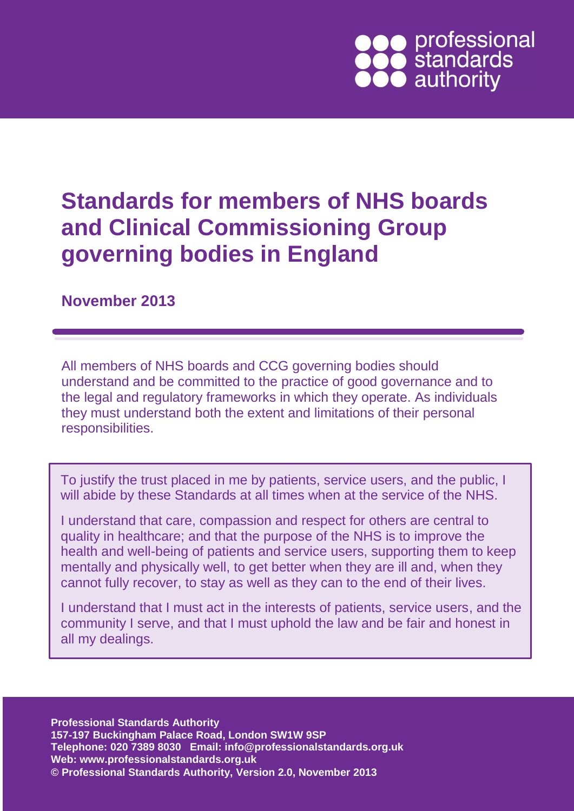# • professional<br>• standards<br>• authority

## **Standards for members of NHS boards and Clinical Commissioning Group governing bodies in England**

#### **November 2013**

All members of NHS boards and CCG governing bodies should understand and be committed to the practice of good governance and to the legal and regulatory frameworks in which they operate. As individuals they must understand both the extent and limitations of their personal responsibilities.

To justify the trust placed in me by patients, service users, and the public, I will abide by these Standards at all times when at the service of the NHS.

I understand that care, compassion and respect for others are central to quality in healthcare; and that the purpose of the NHS is to improve the health and well-being of patients and service users, supporting them to keep mentally and physically well, to get better when they are ill and, when they cannot fully recover, to stay as well as they can to the end of their lives.

I understand that I must act in the interests of patients, service users, and the community I serve, and that I must uphold the law and be fair and honest in all my dealings.

**Professional Standards Authority 157-197 Buckingham Palace Road, London SW1W 9SP Telephone: 020 7389 8030 Email: info@professionalstandards.org.uk Web: www.professionalstandards.org.uk © Professional Standards Authority, Version 2.0, November 2013**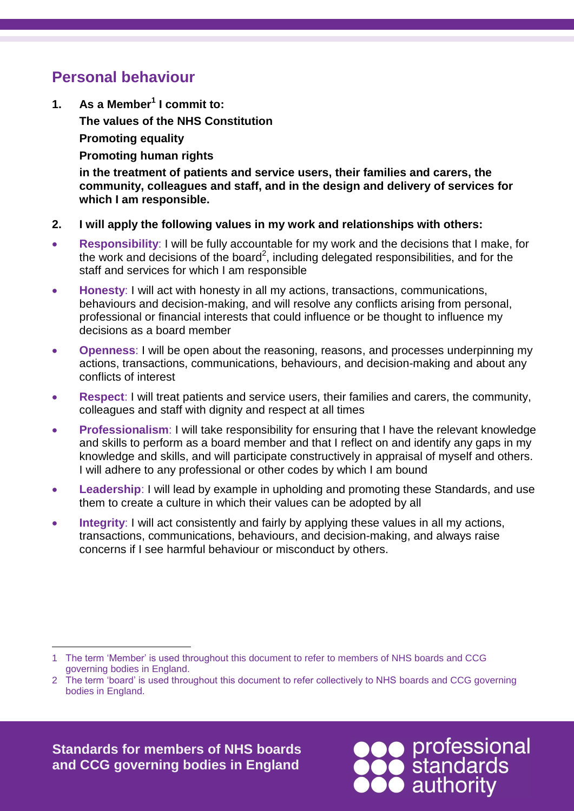#### **Personal behaviour**

**1. As a Member<sup>1</sup> I commit to: The values of the [NHS Constitution](http://www.nhs.uk/choiceintheNHS/Rightsandpledges/NHSConstitution/Documents/nhs-constitution-interactive-version-march-2010.pdf) Promoting equality Promoting human rights**

> **in the treatment of patients and service users, their families and carers, the community, colleagues and staff, and in the design and delivery of services for which I am responsible.**

- **2. I will apply the following values in my work and relationships with others:**
- **Responsibility**: I will be fully accountable for my work and the decisions that I make, for the work and decisions of the board<sup>2</sup>, including delegated responsibilities, and for the staff and services for which I am responsible
- **Honesty**: I will act with honesty in all my actions, transactions, communications, behaviours and decision-making, and will resolve any conflicts arising from personal, professional or financial interests that could influence or be thought to influence my decisions as a board member
- **Openness**: I will be open about the reasoning, reasons, and processes underpinning my actions, transactions, communications, behaviours, and decision-making and about any conflicts of interest
- **Respect**: I will treat patients and service users, their families and carers, the community, colleagues and staff with dignity and respect at all times
- **Professionalism**: I will take responsibility for ensuring that I have the relevant knowledge and skills to perform as a board member and that I reflect on and identify any gaps in my knowledge and skills, and will participate constructively in appraisal of myself and others. I will adhere to any professional or other codes by which I am bound
- **Leadership**: I will lead by example in upholding and promoting these Standards, and use them to create a culture in which their values can be adopted by all
- **Integrity**: I will act consistently and fairly by applying these values in all my actions, transactions, communications, behaviours, and decision-making, and always raise concerns if I see harmful behaviour or misconduct by others.

**Standards for members of NHS boards and CCG governing bodies in England**



<sup>1</sup> 1 The term 'Member' is used throughout this document to refer to members of NHS boards and CCG governing bodies in England.

<sup>2</sup> The term 'board' is used throughout this document to refer collectively to NHS boards and CCG governing bodies in England.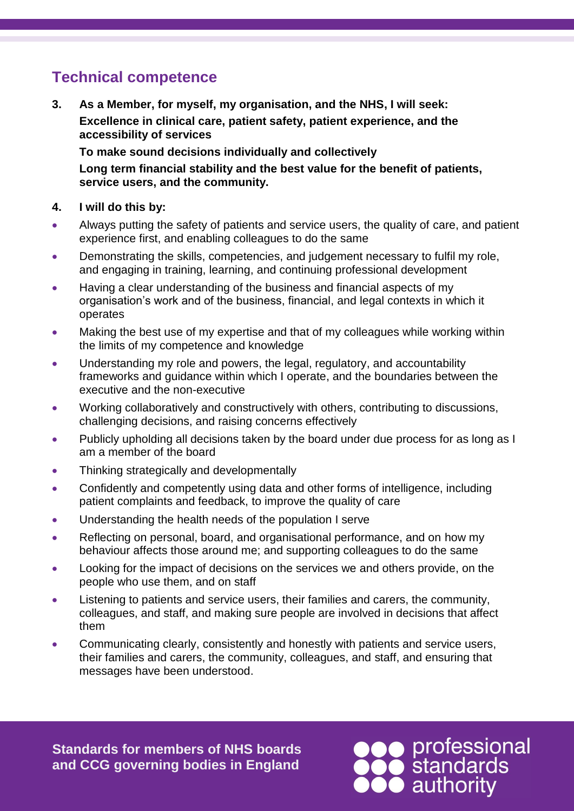### **Technical competence**

**3. As a Member, for myself, my organisation, and the NHS, I will seek: Excellence in clinical care, patient safety, patient experience, and the accessibility of services**

**To make sound decisions individually and collectively Long term financial stability and the best value for the benefit of patients, service users, and the community.**

#### **4. I will do this by:**

- Always putting the safety of patients and service users, the quality of care, and patient experience first, and enabling colleagues to do the same
- Demonstrating the skills, competencies, and judgement necessary to fulfil my role, and engaging in training, learning, and continuing professional development
- Having a clear understanding of the business and financial aspects of my organisation's work and of the business, financial, and legal contexts in which it operates
- Making the best use of my expertise and that of my colleagues while working within the limits of my competence and knowledge
- Understanding my role and powers, the legal, regulatory, and accountability frameworks and guidance within which I operate, and the boundaries between the executive and the non-executive
- Working collaboratively and constructively with others, contributing to discussions, challenging decisions, and raising concerns effectively
- Publicly upholding all decisions taken by the board under due process for as long as I am a member of the board
- Thinking strategically and developmentally
- Confidently and competently using data and other forms of intelligence, including patient complaints and feedback, to improve the quality of care
- Understanding the health needs of the population I serve
- Reflecting on personal, board, and organisational performance, and on how my behaviour affects those around me; and supporting colleagues to do the same
- Looking for the impact of decisions on the services we and others provide, on the people who use them, and on staff
- Listening to patients and service users, their families and carers, the community, colleagues, and staff, and making sure people are involved in decisions that affect them
- Communicating clearly, consistently and honestly with patients and service users, their families and carers, the community, colleagues, and staff, and ensuring that messages have been understood.

**Standards for members of NHS boards and CCG governing bodies in England**